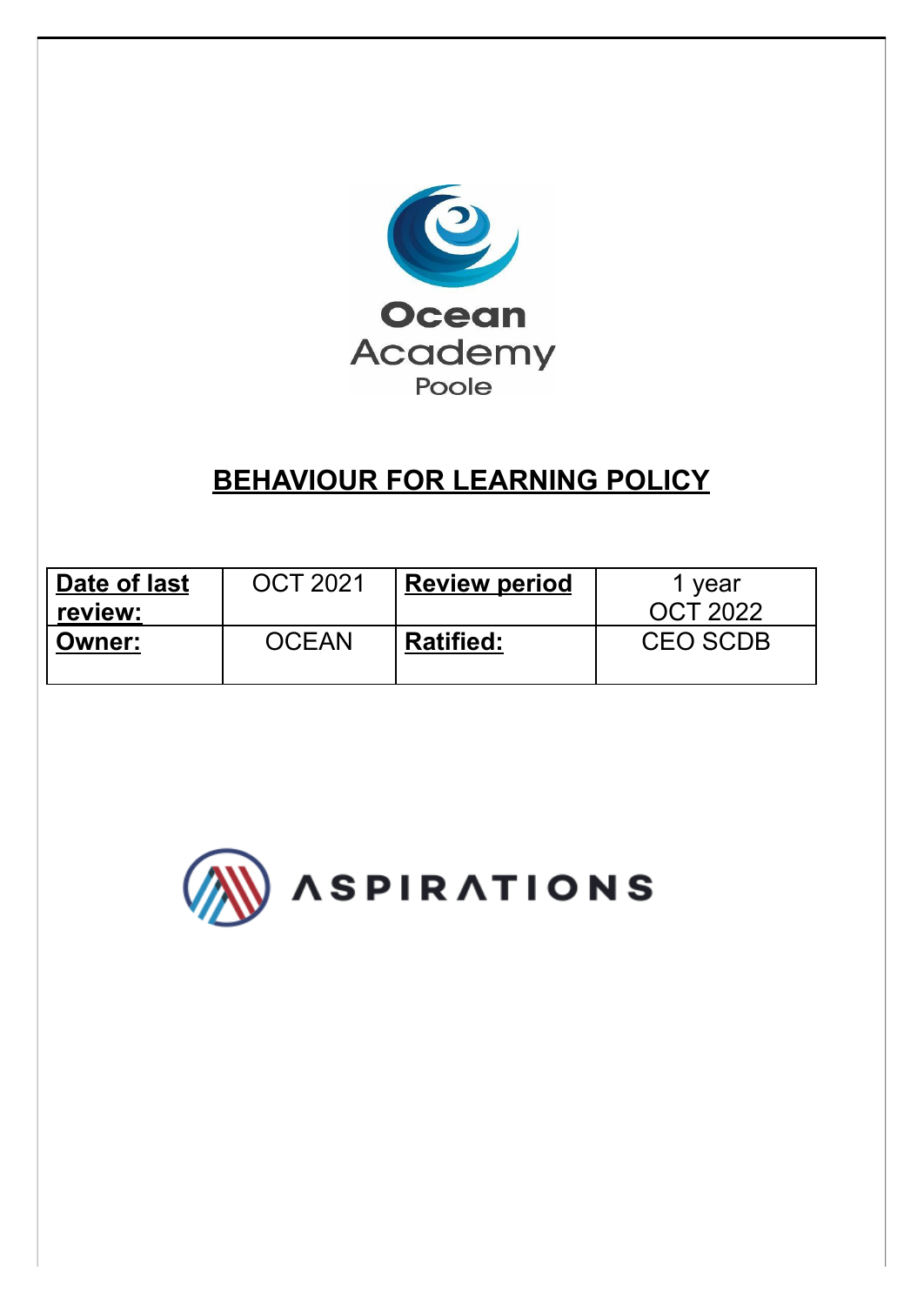

# **BEHAVIOUR FOR LEARNING POLICY**

| Date of last  | <b>OCT 2021</b> | <b>Review period</b> | 1 year          |
|---------------|-----------------|----------------------|-----------------|
| review:       |                 |                      | <b>OCT 2022</b> |
| <b>Owner:</b> | <b>OCEAN</b>    | <b>Ratified:</b>     | <b>CEO SCDB</b> |

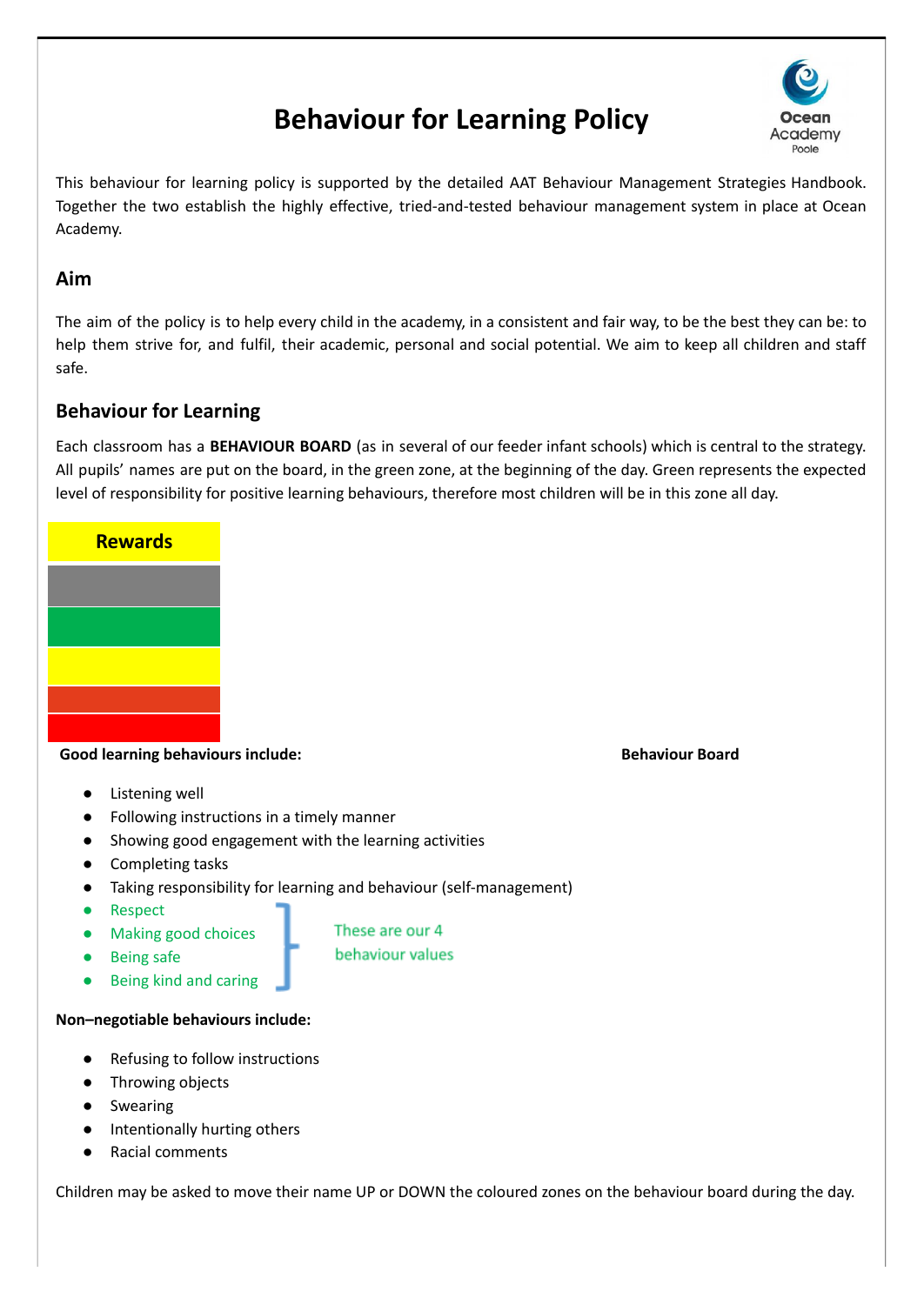# **Behaviour for Learning Policy**



This behaviour for learning policy is supported by the detailed AAT Behaviour Management Strategies Handbook. Together the two establish the highly effective, tried-and-tested behaviour management system in place at Ocean Academy.

#### **Aim**

The aim of the policy is to help every child in the academy, in a consistent and fair way, to be the best they can be: to help them strive for, and fulfil, their academic, personal and social potential. We aim to keep all children and staff safe.

# **Behaviour for Learning**

Each classroom has a **BEHAVIOUR BOARD** (as in several of our feeder infant schools) which is central to the strategy. All pupils' names are put on the board, in the green zone, at the beginning of the day. Green represents the expected level of responsibility for positive learning behaviours, therefore most children will be in this zone all day.



#### **Good learning behaviours include: Behaviour Board**

- Listening well
- Following instructions in a timely manner
- Showing good engagement with the learning activities
- Completing tasks
- Taking responsibility for learning and behaviour (self-management)

These are our 4 behaviour values

- Respect
- Making good choices
- **Being safe**
- **Being kind and caring**

#### **Non–negotiable behaviours include:**

- **Refusing to follow instructions**
- Throwing objects
- Swearing
- Intentionally hurting others
- **Racial comments**

Children may be asked to move their name UP or DOWN the coloured zones on the behaviour board during the day.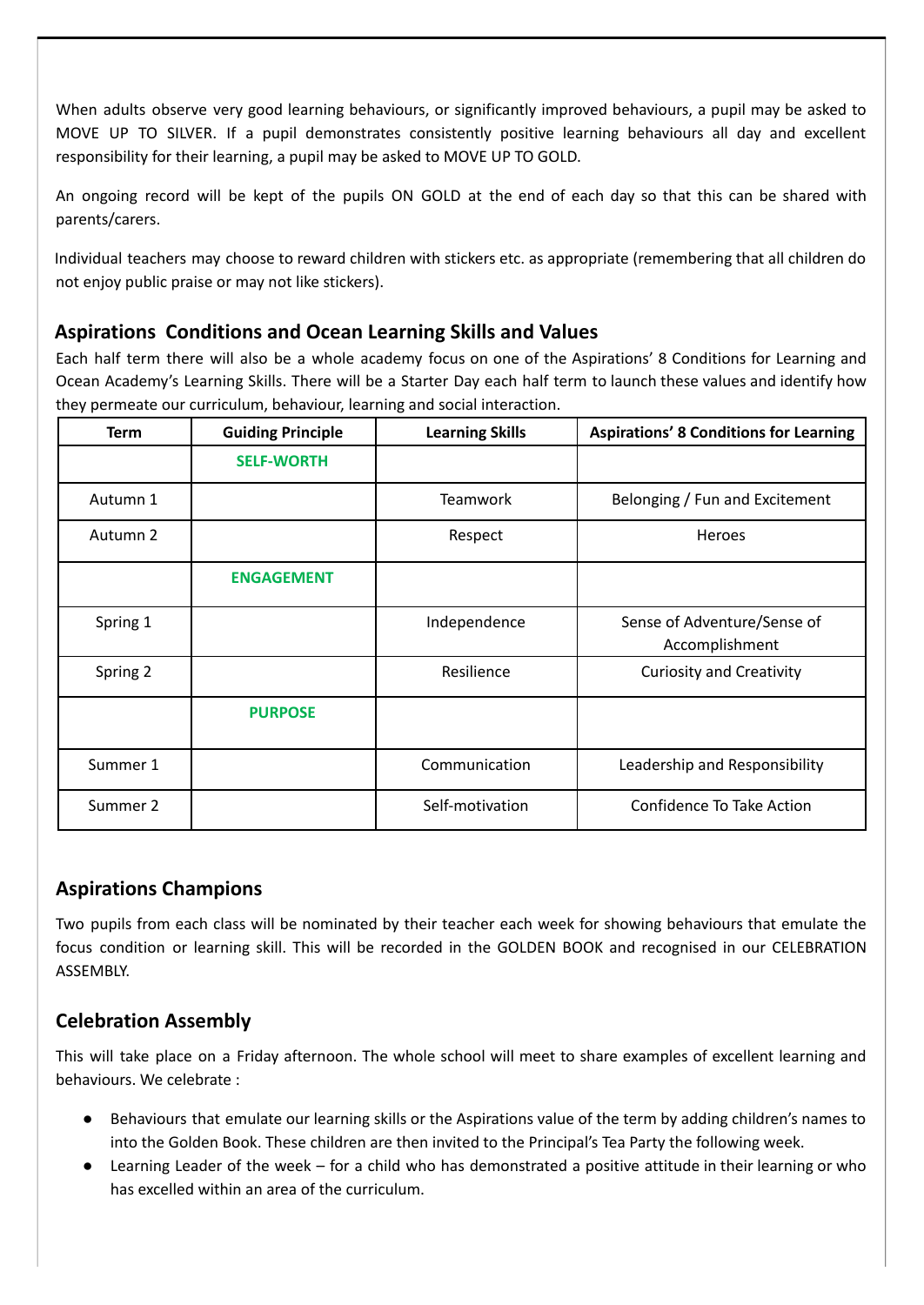When adults observe very good learning behaviours, or significantly improved behaviours, a pupil may be asked to MOVE UP TO SILVER. If a pupil demonstrates consistently positive learning behaviours all day and excellent responsibility for their learning, a pupil may be asked to MOVE UP TO GOLD.

An ongoing record will be kept of the pupils ON GOLD at the end of each day so that this can be shared with parents/carers.

Individual teachers may choose to reward children with stickers etc. as appropriate (remembering that all children do not enjoy public praise or may not like stickers).

# **Aspirations Conditions and Ocean Learning Skills and Values**

Each half term there will also be a whole academy focus on one of the Aspirations' 8 Conditions for Learning and Ocean Academy's Learning Skills. There will be a Starter Day each half term to launch these values and identify how they permeate our curriculum, behaviour, learning and social interaction.

| <b>Term</b> | <b>Guiding Principle</b> | <b>Learning Skills</b> | <b>Aspirations' 8 Conditions for Learning</b> |
|-------------|--------------------------|------------------------|-----------------------------------------------|
|             | <b>SELF-WORTH</b>        |                        |                                               |
| Autumn 1    |                          | <b>Teamwork</b>        | Belonging / Fun and Excitement                |
| Autumn 2    |                          | Respect                | <b>Heroes</b>                                 |
|             | <b>ENGAGEMENT</b>        |                        |                                               |
| Spring 1    |                          | Independence           | Sense of Adventure/Sense of<br>Accomplishment |
| Spring 2    |                          | Resilience             | <b>Curiosity and Creativity</b>               |
|             | <b>PURPOSE</b>           |                        |                                               |
| Summer 1    |                          | Communication          | Leadership and Responsibility                 |
| Summer 2    |                          | Self-motivation        | Confidence To Take Action                     |

# **Aspirations Champions**

Two pupils from each class will be nominated by their teacher each week for showing behaviours that emulate the focus condition or learning skill. This will be recorded in the GOLDEN BOOK and recognised in our CELEBRATION ASSEMBLY.

# **Celebration Assembly**

This will take place on a Friday afternoon. The whole school will meet to share examples of excellent learning and behaviours. We celebrate :

- Behaviours that emulate our learning skills or the Aspirations value of the term by adding children's names to into the Golden Book. These children are then invited to the Principal's Tea Party the following week.
- Learning Leader of the week for a child who has demonstrated a positive attitude in their learning or who has excelled within an area of the curriculum.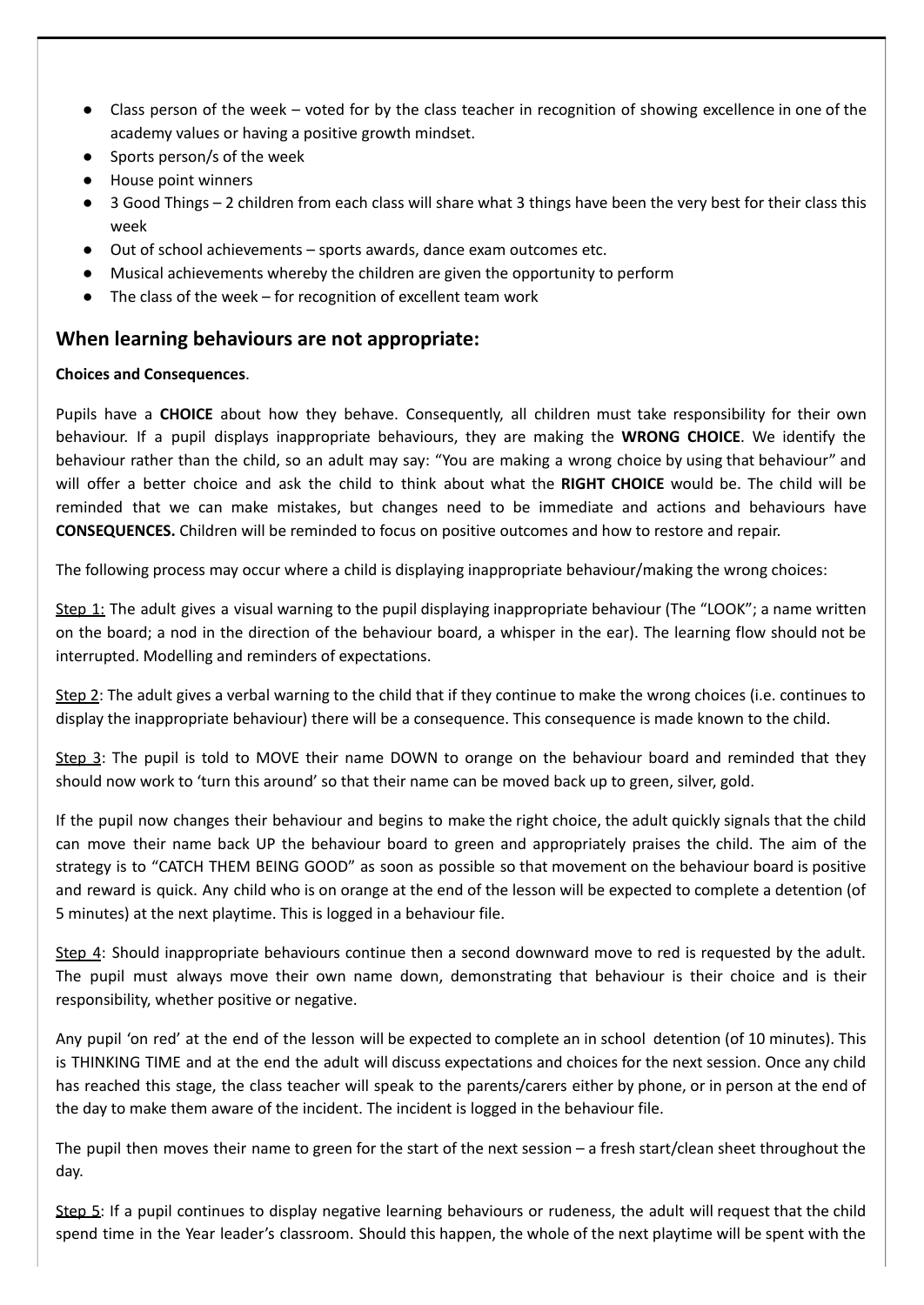- Class person of the week voted for by the class teacher in recognition of showing excellence in one of the academy values or having a positive growth mindset.
- Sports person/s of the week
- House point winners
- 3 Good Things 2 children from each class will share what 3 things have been the very best for their class this week
- Out of school achievements sports awards, dance exam outcomes etc.
- Musical achievements whereby the children are given the opportunity to perform
- The class of the week for recognition of excellent team work

#### **When learning behaviours are not appropriate:**

#### **Choices and Consequences**.

Pupils have a **CHOICE** about how they behave. Consequently, all children must take responsibility for their own behaviour. If a pupil displays inappropriate behaviours, they are making the **WRONG CHOICE**. We identify the behaviour rather than the child, so an adult may say: "You are making a wrong choice by using that behaviour" and will offer a better choice and ask the child to think about what the **RIGHT CHOICE** would be. The child will be reminded that we can make mistakes, but changes need to be immediate and actions and behaviours have **CONSEQUENCES.** Children will be reminded to focus on positive outcomes and how to restore and repair.

The following process may occur where a child is displaying inappropriate behaviour/making the wrong choices:

Step 1: The adult gives a visual warning to the pupil displaying inappropriate behaviour (The "LOOK"; a name written on the board; a nod in the direction of the behaviour board, a whisper in the ear). The learning flow should not be interrupted. Modelling and reminders of expectations.

Step 2: The adult gives a verbal warning to the child that if they continue to make the wrong choices (i.e. continues to display the inappropriate behaviour) there will be a consequence. This consequence is made known to the child.

Step 3: The pupil is told to MOVE their name DOWN to orange on the behaviour board and reminded that they should now work to 'turn this around' so that their name can be moved back up to green, silver, gold.

If the pupil now changes their behaviour and begins to make the right choice, the adult quickly signals that the child can move their name back UP the behaviour board to green and appropriately praises the child. The aim of the strategy is to "CATCH THEM BEING GOOD" as soon as possible so that movement on the behaviour board is positive and reward is quick. Any child who is on orange at the end of the lesson will be expected to complete a detention (of 5 minutes) at the next playtime. This is logged in a behaviour file.

Step 4: Should inappropriate behaviours continue then a second downward move to red is requested by the adult. The pupil must always move their own name down, demonstrating that behaviour is their choice and is their responsibility, whether positive or negative.

Any pupil 'on red' at the end of the lesson will be expected to complete an in school detention (of 10 minutes). This is THINKING TIME and at the end the adult will discuss expectations and choices for the next session. Once any child has reached this stage, the class teacher will speak to the parents/carers either by phone, or in person at the end of the day to make them aware of the incident. The incident is logged in the behaviour file.

The pupil then moves their name to green for the start of the next session – a fresh start/clean sheet throughout the day.

Step 5: If a pupil continues to display negative learning behaviours or rudeness, the adult will request that the child spend time in the Year leader's classroom. Should this happen, the whole of the next playtime will be spent with the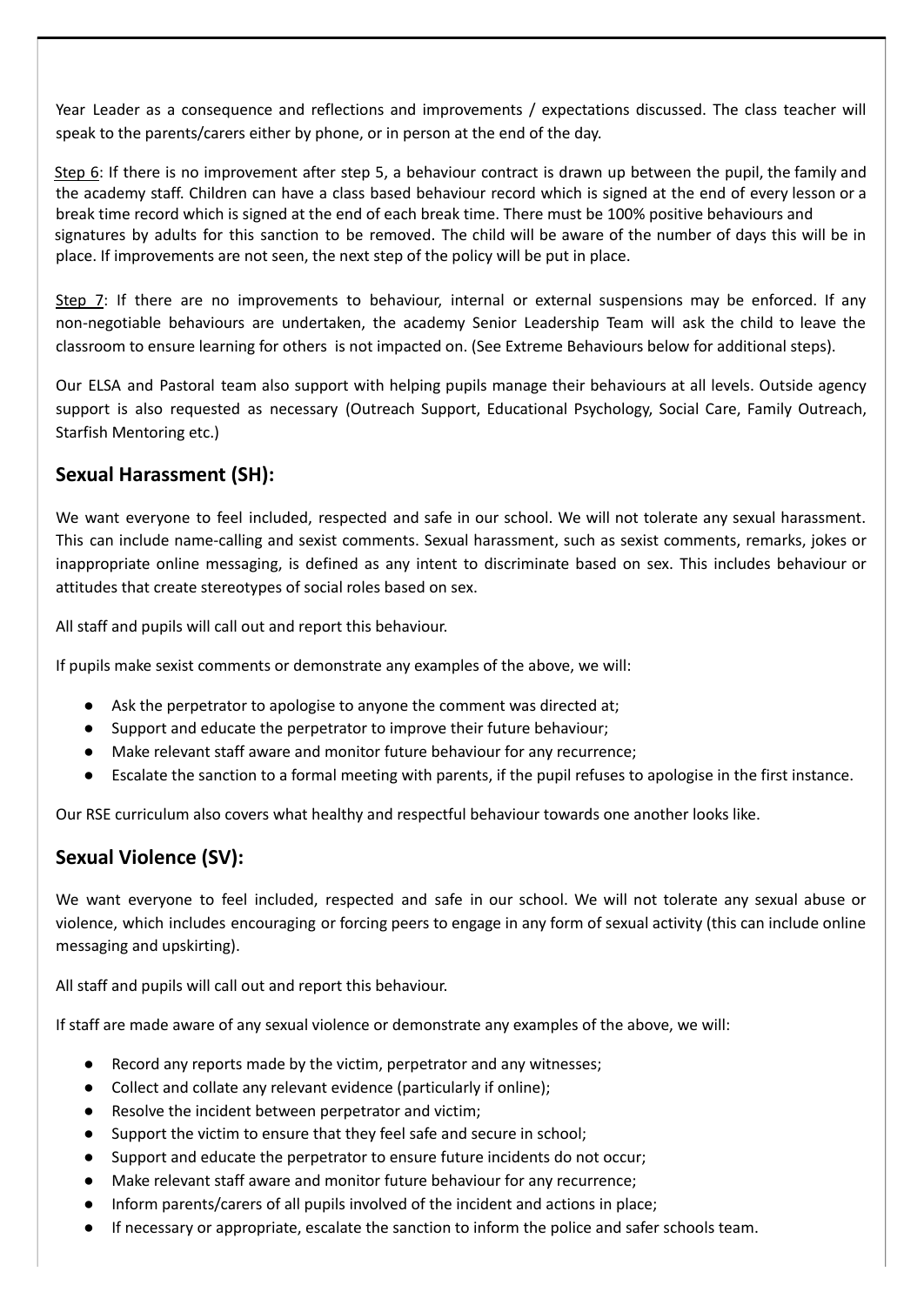Year Leader as a consequence and reflections and improvements / expectations discussed. The class teacher will speak to the parents/carers either by phone, or in person at the end of the day.

Step 6: If there is no improvement after step 5, a behaviour contract is drawn up between the pupil, the family and the academy staff. Children can have a class based behaviour record which is signed at the end of every lesson or a break time record which is signed at the end of each break time. There must be 100% positive behaviours and signatures by adults for this sanction to be removed. The child will be aware of the number of days this will be in place. If improvements are not seen, the next step of the policy will be put in place.

Step 7: If there are no improvements to behaviour, internal or external suspensions may be enforced. If any non-negotiable behaviours are undertaken, the academy Senior Leadership Team will ask the child to leave the classroom to ensure learning for others is not impacted on. (See Extreme Behaviours below for additional steps).

Our ELSA and Pastoral team also support with helping pupils manage their behaviours at all levels. Outside agency support is also requested as necessary (Outreach Support, Educational Psychology, Social Care, Family Outreach, Starfish Mentoring etc.)

# **Sexual Harassment (SH):**

We want everyone to feel included, respected and safe in our school. We will not tolerate any sexual harassment. This can include name-calling and sexist comments. Sexual harassment, such as sexist comments, remarks, jokes or inappropriate online messaging, is defined as any intent to discriminate based on sex. This includes behaviour or attitudes that create stereotypes of social roles based on sex.

All staff and pupils will call out and report this behaviour.

If pupils make sexist comments or demonstrate any examples of the above, we will:

- Ask the perpetrator to apologise to anyone the comment was directed at;
- Support and educate the perpetrator to improve their future behaviour;
- Make relevant staff aware and monitor future behaviour for any recurrence;
- Escalate the sanction to a formal meeting with parents, if the pupil refuses to apologise in the first instance.

Our RSE curriculum also covers what healthy and respectful behaviour towards one another looks like.

# **Sexual Violence (SV):**

We want everyone to feel included, respected and safe in our school. We will not tolerate any sexual abuse or violence, which includes encouraging or forcing peers to engage in any form of sexual activity (this can include online messaging and upskirting).

All staff and pupils will call out and report this behaviour.

If staff are made aware of any sexual violence or demonstrate any examples of the above, we will:

- Record any reports made by the victim, perpetrator and any witnesses;
- Collect and collate any relevant evidence (particularly if online);
- Resolve the incident between perpetrator and victim;
- Support the victim to ensure that they feel safe and secure in school;
- Support and educate the perpetrator to ensure future incidents do not occur;
- Make relevant staff aware and monitor future behaviour for any recurrence;
- Inform parents/carers of all pupils involved of the incident and actions in place;
- If necessary or appropriate, escalate the sanction to inform the police and safer schools team.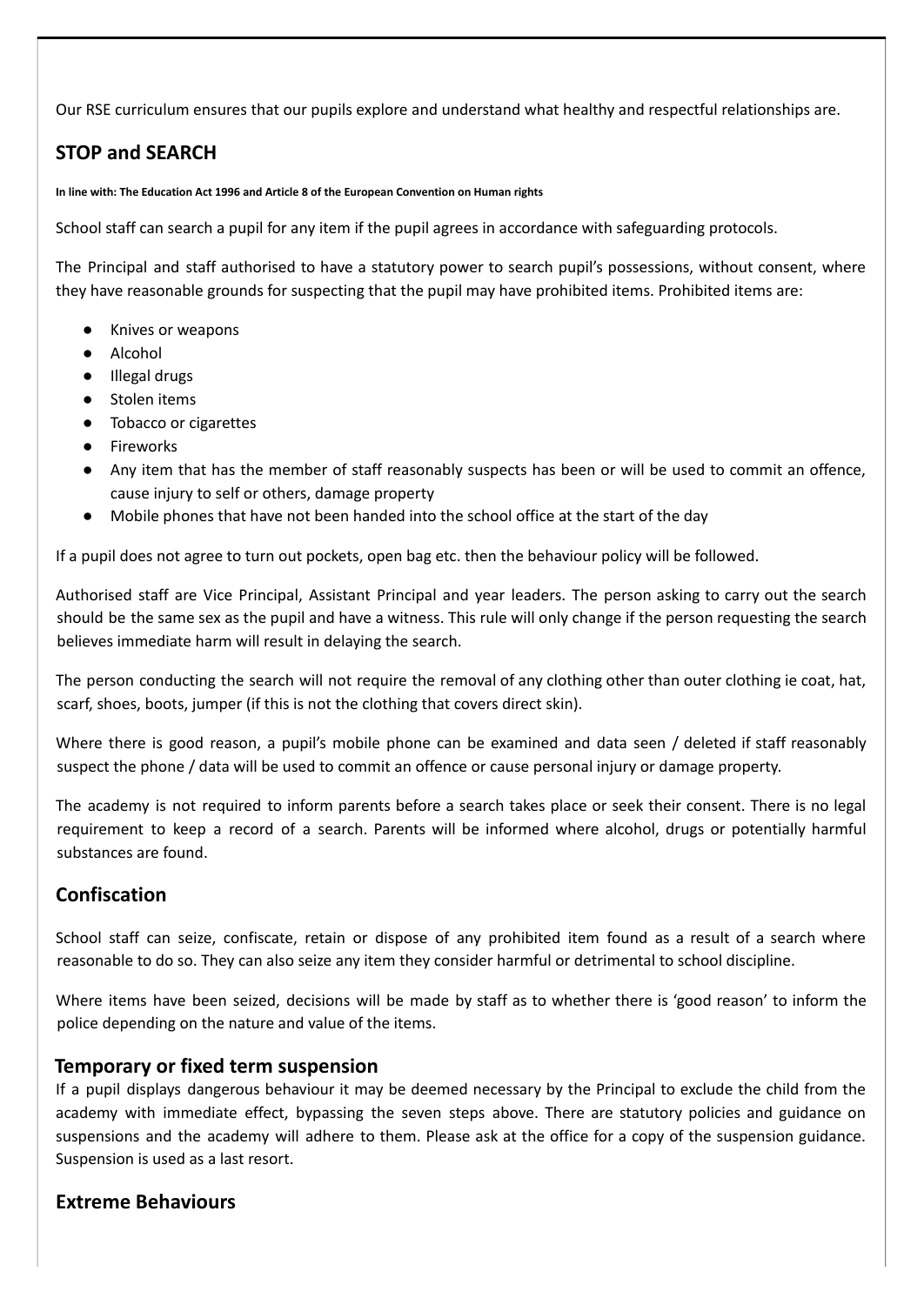Our RSE curriculum ensures that our pupils explore and understand what healthy and respectful relationships are.

# **STOP and SEARCH**

**In line with: The Education Act 1996 and Article 8 of the European Convention on Human rights**

School staff can search a pupil for any item if the pupil agrees in accordance with safeguarding protocols.

The Principal and staff authorised to have a statutory power to search pupil's possessions, without consent, where they have reasonable grounds for suspecting that the pupil may have prohibited items. Prohibited items are:

- Knives or weapons
- Alcohol
- Illegal drugs
- Stolen items
- Tobacco or cigarettes
- Fireworks
- Any item that has the member of staff reasonably suspects has been or will be used to commit an offence, cause injury to self or others, damage property
- Mobile phones that have not been handed into the school office at the start of the day

If a pupil does not agree to turn out pockets, open bag etc. then the behaviour policy will be followed.

Authorised staff are Vice Principal, Assistant Principal and year leaders. The person asking to carry out the search should be the same sex as the pupil and have a witness. This rule will only change if the person requesting the search believes immediate harm will result in delaying the search.

The person conducting the search will not require the removal of any clothing other than outer clothing ie coat, hat, scarf, shoes, boots, jumper (if this is not the clothing that covers direct skin).

Where there is good reason, a pupil's mobile phone can be examined and data seen / deleted if staff reasonably suspect the phone / data will be used to commit an offence or cause personal injury or damage property.

The academy is not required to inform parents before a search takes place or seek their consent. There is no legal requirement to keep a record of a search. Parents will be informed where alcohol, drugs or potentially harmful substances are found.

# **Confiscation**

School staff can seize, confiscate, retain or dispose of any prohibited item found as a result of a search where reasonable to do so. They can also seize any item they consider harmful or detrimental to school discipline.

Where items have been seized, decisions will be made by staff as to whether there is 'good reason' to inform the police depending on the nature and value of the items.

#### **Temporary or fixed term suspension**

If a pupil displays dangerous behaviour it may be deemed necessary by the Principal to exclude the child from the academy with immediate effect, bypassing the seven steps above. There are statutory policies and guidance on suspensions and the academy will adhere to them. Please ask at the office for a copy of the suspension guidance. Suspension is used as a last resort.

# **Extreme Behaviours**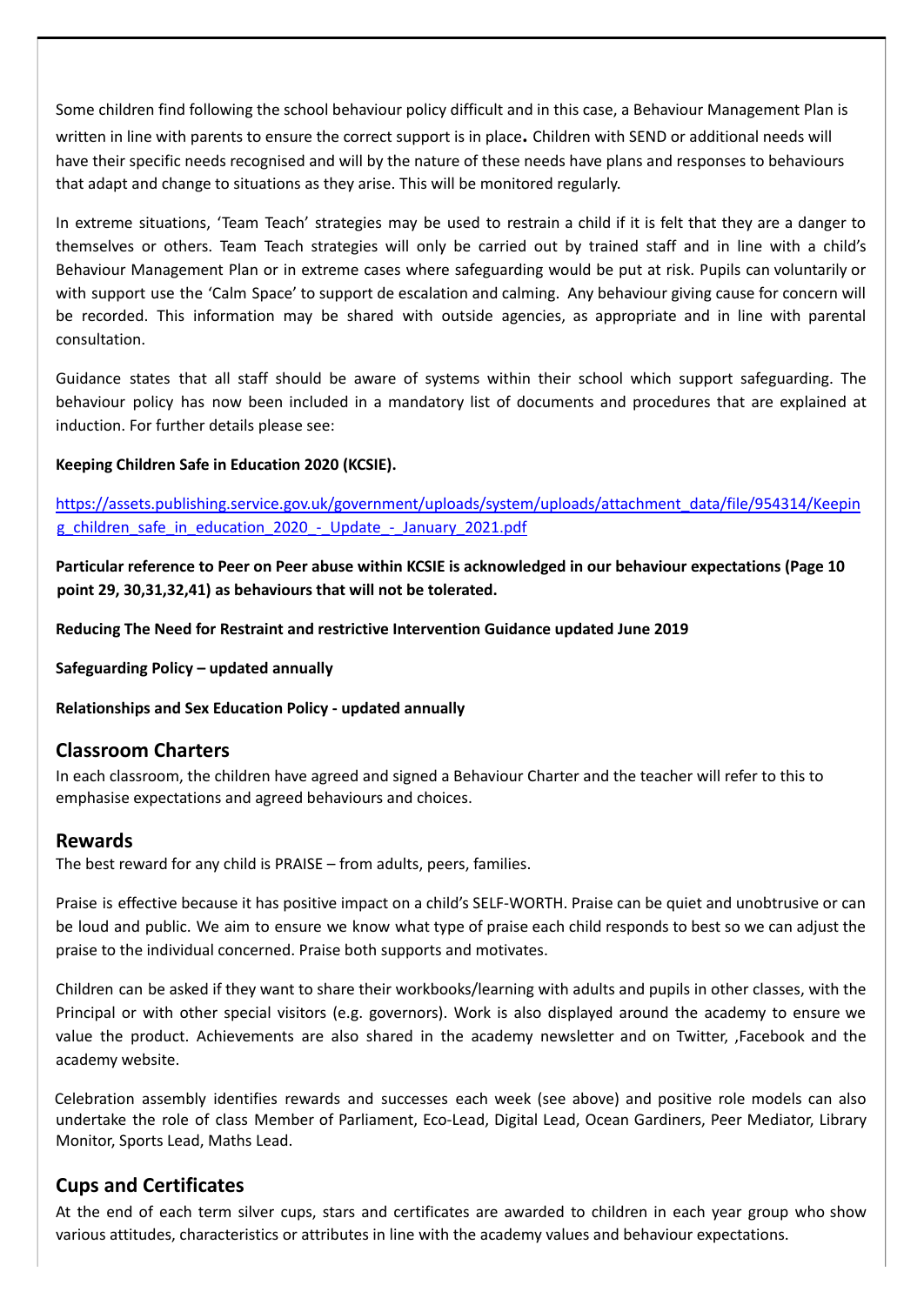Some children find following the school behaviour policy difficult and in this case, a Behaviour Management Plan is

written in line with parents to ensure the correct support is in place**.** Children with SEND or additional needs will have their specific needs recognised and will by the nature of these needs have plans and responses to behaviours that adapt and change to situations as they arise. This will be monitored regularly.

In extreme situations, 'Team Teach' strategies may be used to restrain a child if it is felt that they are a danger to themselves or others. Team Teach strategies will only be carried out by trained staff and in line with a child's Behaviour Management Plan or in extreme cases where safeguarding would be put at risk. Pupils can voluntarily or with support use the 'Calm Space' to support de escalation and calming. Any behaviour giving cause for concern will be recorded. This information may be shared with outside agencies, as appropriate and in line with parental consultation.

Guidance states that all staff should be aware of systems within their school which support safeguarding. The behaviour policy has now been included in a mandatory list of documents and procedures that are explained at induction. For further details please see:

#### **Keeping Children Safe in Education 2020 (KCSIE).**

[https://assets.publishing.service.gov.uk/government/uploads/system/uploads/attachment\\_data/file/954314/Keepin](https://assets.publishing.service.gov.uk/government/uploads/system/uploads/attachment_data/file/954314/Keeping_children_safe_in_education_2020_-_Update_-_January_2021.pdf) [g\\_children\\_safe\\_in\\_education\\_2020\\_-\\_Update\\_-\\_January\\_2021.pdf](https://assets.publishing.service.gov.uk/government/uploads/system/uploads/attachment_data/file/954314/Keeping_children_safe_in_education_2020_-_Update_-_January_2021.pdf)

Particular reference to Peer on Peer abuse within KCSIE is acknowledged in our behaviour expectations (Page 10 **point 29, 30,31,32,41) as behaviours that will not be tolerated.**

**Reducing The Need for Restraint and restrictive Intervention Guidance updated June 2019**

**Safeguarding Policy – updated annually**

**Relationships and Sex Education Policy - updated annually**

#### **Classroom Charters**

In each classroom, the children have agreed and signed a Behaviour Charter and the teacher will refer to this to emphasise expectations and agreed behaviours and choices.

#### **Rewards**

The best reward for any child is PRAISE – from adults, peers, families.

Praise is effective because it has positive impact on a child's SELF-WORTH. Praise can be quiet and unobtrusive or can be loud and public. We aim to ensure we know what type of praise each child responds to best so we can adjust the praise to the individual concerned. Praise both supports and motivates.

Children can be asked if they want to share their workbooks/learning with adults and pupils in other classes, with the Principal or with other special visitors (e.g. governors). Work is also displayed around the academy to ensure we value the product. Achievements are also shared in the academy newsletter and on Twitter, ,Facebook and the academy website.

Celebration assembly identifies rewards and successes each week (see above) and positive role models can also undertake the role of class Member of Parliament, Eco-Lead, Digital Lead, Ocean Gardiners, Peer Mediator, Library Monitor, Sports Lead, Maths Lead.

# **Cups and Certificates**

At the end of each term silver cups, stars and certificates are awarded to children in each year group who show various attitudes, characteristics or attributes in line with the academy values and behaviour expectations.